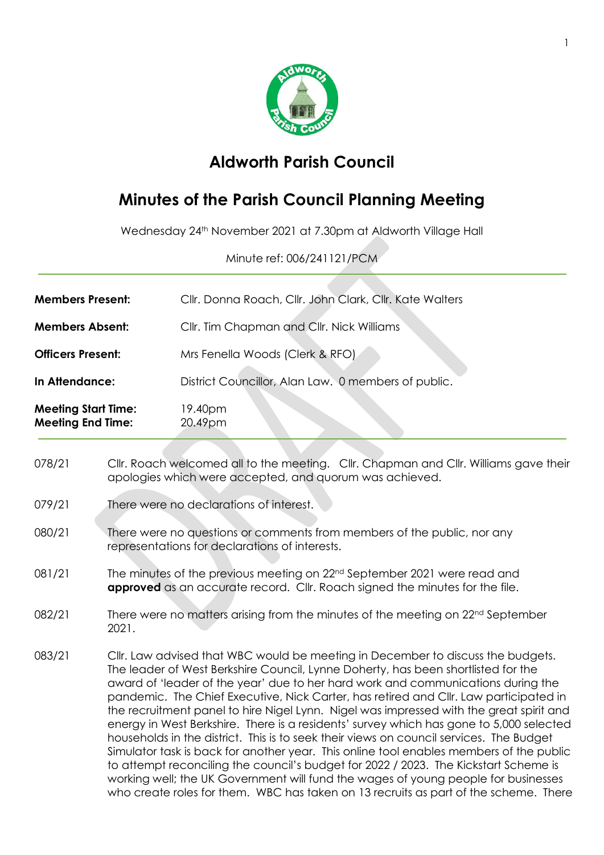

## **Aldworth Parish Council**

## **Minutes of the Parish Council Planning Meeting**

Wednesday 24th November 2021 at 7.30pm at Aldworth Village Hall

Minute ref: 006/241121/PCM

| <b>Members Present:</b>                                | Cllr. Donna Roach, Cllr. John Clark, Cllr. Kate Walters |  |  |
|--------------------------------------------------------|---------------------------------------------------------|--|--|
| <b>Members Absent:</b>                                 | Cllr. Tim Chapman and Cllr. Nick Williams               |  |  |
| <b>Officers Present:</b>                               | Mrs Fenella Woods (Clerk & RFO)                         |  |  |
| In Attendance:                                         | District Councillor, Alan Law. 0 members of public.     |  |  |
| <b>Meeting Start Time:</b><br><b>Meeting End Time:</b> | 19.40pm<br>20.49pm                                      |  |  |
|                                                        |                                                         |  |  |

- 078/21 Cllr. Roach welcomed all to the meeting. Cllr. Chapman and Cllr. Williams gave their apologies which were accepted, and quorum was achieved.
- 079/21 There were no declarations of interest.
- 080/21 There were no questions or comments from members of the public, nor any representations for declarations of interests.
- 081/21 The minutes of the previous meeting on 22<sup>nd</sup> September 2021 were read and **approved** as an accurate record. Cllr. Roach signed the minutes for the file.
- 082/21 There were no matters arising from the minutes of the meeting on 22<sup>nd</sup> September 2021.
- 083/21 Cllr. Law advised that WBC would be meeting in December to discuss the budgets. The leader of West Berkshire Council, Lynne Doherty, has been shortlisted for the award of 'leader of the year' due to her hard work and communications during the pandemic. The Chief Executive, Nick Carter, has retired and Cllr. Law participated in the recruitment panel to hire Nigel Lynn. Nigel was impressed with the great spirit and energy in West Berkshire. There is a residents' survey which has gone to 5,000 selected households in the district. This is to seek their views on council services. The Budget Simulator task is back for another year. This online tool enables members of the public to attempt reconciling the council's budget for 2022 / 2023. The Kickstart Scheme is working well; the UK Government will fund the wages of young people for businesses who create roles for them. WBC has taken on 13 recruits as part of the scheme. There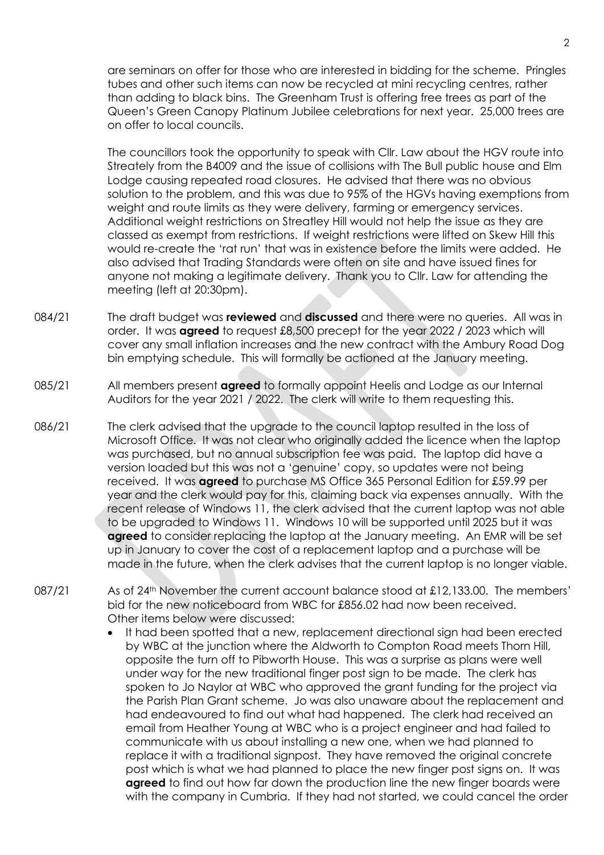are seminars on offer for those who are interested in bidding for the scheme. Pringles tubes and other such items can now be recycled at mini recycling centres, rather than adding to black bins. The Greenham Trust is offering free trees as part of the Queen's Green Canopy Platinum Jubilee celebrations for next year. 25,000 trees are on offer to local councils.

The councillors took the opportunity to speak with Cllr. Law about the HGV route into Streately from the B4009 and the issue of collisions with The Bull public house and Elm Lodge causing repeated road closures. He advised that there was no obvious solution to the problem, and this was due to 95% of the HGVs having exemptions from weight and route limits as they were delivery, farming or emergency services. Additional weight restrictions on Streatley Hill would not help the issue as they are classed as exempt from restrictions. If weight restrictions were lifted on Skew Hill this would re-create the 'rat run' that was in existence before the limits were added. He also advised that Trading Standards were often on site and have issued fines for anyone not making a legitimate delivery. Thank you to Cllr. Law for attending the meeting (left at 20:30pm).

- 084/21 The draft budget was **reviewed** and **discussed** and there were no queries. All was in order. It was **agreed** to request £8,500 precept for the year 2022 / 2023 which will cover any small inflation increases and the new contract with the Ambury Road Dog bin emptying schedule. This will formally be actioned at the January meeting.
- 085/21 All members present **agreed** to formally appoint Heelis and Lodge as our Internal Auditors for the year 2021 / 2022. The clerk will write to them requesting this.
- 086/21 The clerk advised that the upgrade to the council laptop resulted in the loss of Microsoft Office. It was not clear who originally added the licence when the laptop was purchased, but no annual subscription fee was paid. The laptop did have a version loaded but this was not a 'genuine' copy, so updates were not being received. It was **agreed** to purchase MS Office 365 Personal Edition for £59.99 per year and the clerk would pay for this, claiming back via expenses annually. With the recent release of Windows 11, the clerk advised that the current laptop was not able to be upgraded to Windows 11. Windows 10 will be supported until 2025 but it was **agreed** to consider replacing the laptop at the January meeting. An EMR will be set up in January to cover the cost of a replacement laptop and a purchase will be made in the future, when the clerk advises that the current laptop is no longer viable.
- 087/21 As of 24<sup>th</sup> November the current account balance stood at £12,133.00. The members' bid for the new noticeboard from WBC for £856.02 had now been received. Other items below were discussed:
	- It had been spotted that a new, replacement directional sign had been erected by WBC at the junction where the Aldworth to Compton Road meets Thorn Hill, opposite the turn off to Pibworth House. This was a surprise as plans were well under way for the new traditional finger post sign to be made. The clerk has spoken to Jo Naylor at WBC who approved the grant funding for the project via the Parish Plan Grant scheme. Jo was also unaware about the replacement and had endeavoured to find out what had happened. The clerk had received an email from Heather Young at WBC who is a project engineer and had failed to communicate with us about installing a new one, when we had planned to replace it with a traditional signpost. They have removed the original concrete post which is what we had planned to place the new finger post signs on. It was **agreed** to find out how far down the production line the new finger boards were with the company in Cumbria. If they had not started, we could cancel the order